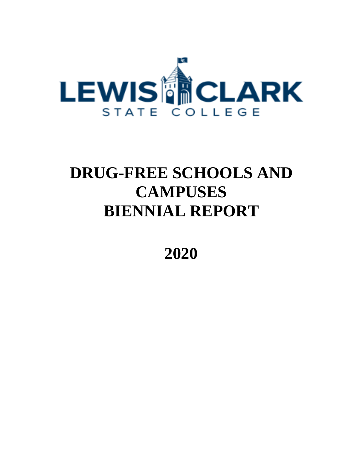

# **DRUG-FREE SCHOOLS AND CAMPUSES BIENNIAL REPORT**

**2020**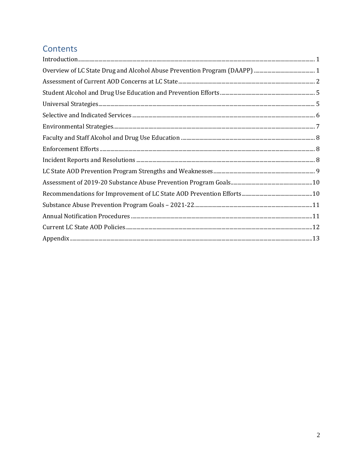# Contents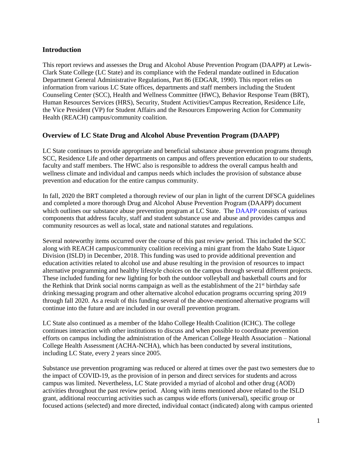### <span id="page-2-0"></span>**Introduction**

This report reviews and assesses the Drug and Alcohol Abuse Prevention Program (DAAPP) at Lewis-Clark State College (LC State) and its compliance with the Federal mandate outlined in Education Department General Administrative Regulations, Part 86 (EDGAR, 1990). This report relies on information from various LC State offices, departments and staff members including the Student Counseling Center (SCC), Health and Wellness Committee (HWC), Behavior Response Team (BRT), Human Resources Services (HRS), Security, Student Activities/Campus Recreation, Residence Life, the Vice President (VP) for Student Affairs and the Resources Empowering Action for Community Health (REACH) campus/community coalition.

### <span id="page-2-1"></span>**Overview of LC State Drug and Alcohol Abuse Prevention Program (DAAPP)**

LC State continues to provide appropriate and beneficial substance abuse prevention programs through SCC, Residence Life and other departments on campus and offers prevention education to our students, faculty and staff members. The HWC also is responsible to address the overall campus health and wellness climate and individual and campus needs which includes the provision of substance abuse prevention and education for the entire campus community.

In fall, 2020 the BRT completed a thorough review of our plan in light of the current DFSCA guidelines and completed a more thorough Drug and Alcohol Abuse Prevention Program (DAAPP) document which outlines our substance abuse prevention program at LC State. The [DAAPP](https://www.lcsc.edu/media/7173/lcsc-daapp-dfsca-annual-notification-report-final.pdf) consists of various components that address faculty, staff and student substance use and abuse and provides campus and community resources as well as local, state and national statutes and regulations.

Several noteworthy items occurred over the course of this past review period. This included the SCC along with REACH campus/community coalition receiving a mini grant from the Idaho State Liquor Division (ISLD) in December, 2018. This funding was used to provide additional prevention and education activities related to alcohol use and abuse resulting in the provision of resources to impact alternative programming and healthy lifestyle choices on the campus through several different projects. These included funding for new lighting for both the outdoor volleyball and basketball courts and for the Rethink that Drink social norms campaign as well as the establishment of the 21<sup>st</sup> birthday safe drinking messaging program and other alternative alcohol education programs occurring spring 2019 through fall 2020. As a result of this funding several of the above-mentioned alternative programs will continue into the future and are included in our overall prevention program.

LC State also continued as a member of the Idaho College Health Coalition (ICHC). The college continues interaction with other institutions to discuss and when possible to coordinate prevention efforts on campus including the administration of the American College Health Association – National College Health Assessment (ACHA-NCHA), which has been conducted by several institutions, including LC State, every 2 years since 2005.

Substance use prevention programing was reduced or altered at times over the past two semesters due to the impact of COVID-19, as the provision of in person and direct services for students and across campus was limited. Nevertheless, LC State provided a myriad of alcohol and other drug (AOD) activities throughout the past review period. Along with items mentioned above related to the ISLD grant, additional reoccurring activities such as campus wide efforts (universal), specific group or focused actions (selected) and more directed, individual contact (indicated) along with campus oriented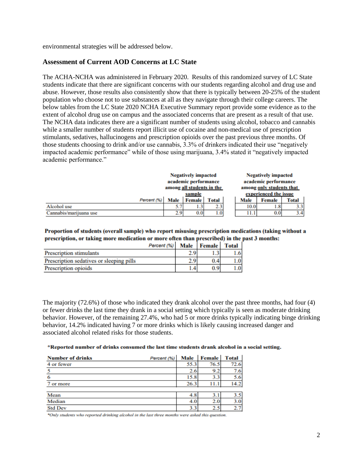environmental strategies will be addressed below.

#### <span id="page-3-0"></span>**Assessment of Current AOD Concerns at LC State**

The ACHA-NCHA was administered in February 2020. Results of this randomized survey of LC State students indicate that there are significant concerns with our students regarding alcohol and drug use and abuse. However, those results also consistently show that there is typically between 20-25% of the student population who choose not to use substances at all as they navigate through their college careers. The below tables from the LC State 2020 NCHA Executive Summary report provide some evidence as to the extent of alcohol drug use on campus and the associated concerns that are present as a result of that use. The NCHA data indicates there are a significant number of students using alcohol, tobacco and cannabis while a smaller number of students report illicit use of cocaine and non-medical use of prescription stimulants, sedatives, hallucinogens and prescription opioids over the past previous three months. Of those students choosing to drink and/or use cannabis, 3.3% of drinkers indicated their use "negatively impacted academic performance" while of those using marijuana, 3.4% stated it "negatively impacted academic performance."

|                        | <b>Negatively impacted</b><br>academic performance |               |       |  |                          | <b>Negatively impacted</b><br>academic performance |       |
|------------------------|----------------------------------------------------|---------------|-------|--|--------------------------|----------------------------------------------------|-------|
|                        | among all students in the                          |               |       |  | among only students that |                                                    |       |
|                        | sample                                             |               |       |  |                          | experienced the issue                              |       |
| Percent (%)            | Male                                               | <b>Female</b> | Total |  | Male                     | Female                                             | Total |
| Alcohol use            | 5.7                                                |               | 2.3   |  | 10.0                     | 1.8                                                | 3.3   |
| Cannabis/marijuana use | 2.9                                                | 0.01          | 1.0   |  | 11.1                     | 0.0                                                |       |

Proportion of students (overall sample) who report misusing prescription medications (taking without a prescription, or taking more medication or more often than prescribed) in the past 3 months:

|                                          | Percent (%) | Male   Female   Total |     |
|------------------------------------------|-------------|-----------------------|-----|
| <b>Prescription stimulants</b>           |             | 1.)                   | 1.6 |
| Prescription sedatives or sleeping pills |             | 0.4                   | 1.0 |
| Prescription opioids                     |             | 0.9 <sup>1</sup>      | 1.0 |

The majority (72.6%) of those who indicated they drank alcohol over the past three months, had four (4) or fewer drinks the last time they drank in a social setting which typically is seen as moderate drinking behavior. However, of the remaining 27.4%, who had 5 or more drinks typically indicating binge drinking behavior, 14.2% indicated having 7 or more drinks which is likely causing increased danger and associated alcohol related risks for those students.

\*Reported number of drinks consumed the last time students drank alcohol in a social setting.

| <b>Number of drinks</b> | Percent (%) | Male | <b>Female</b> | <b>Total</b> |
|-------------------------|-------------|------|---------------|--------------|
| 4 or fewer              |             | 55.3 | 76.5          | 72.6         |
|                         |             | 2.6  | 9.2           | 7.6          |
| 6                       |             | 15.8 | 3.3           | 5.6          |
| 7 or more               |             | 26.3 | 11.           | 14.2         |
|                         |             |      |               |              |
| Mean                    |             | 4.8  | 3.1           | 3.5          |
| Median                  |             | 4.0  | 2.0           | 3.0          |
| <b>Std Dev</b>          |             | 3.3  | 2.3           | 2.7          |

\*Only students who reported drinking alcohol in the last three months were asked this question.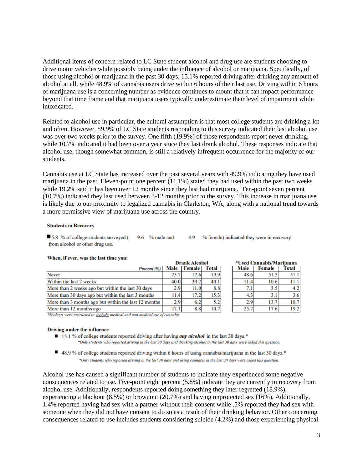Additional items of concern related to LC State student alcohol and drug use are students choosing to drive motor vehicles while possibly being under the influence of alcohol or marijuana. Specifically, of those using alcohol or marijuana in the past 30 days, 15.1% reported driving after drinking any amount of alcohol at all, while 48.9% of cannabis users drive within 6 hours of their last use. Driving within 6 hours of marijuana use is a concerning number as evidence continues to mount that it can impact performance beyond that time frame and that marijuana users typically underestimate their level of impairment while intoxicated.

Related to alcohol use in particular, the cultural assumption is that most college students are drinking a lot and often. However, 59.9% of LC State students responding to this survey indicated their last alcohol use was over two weeks prior to the survey. One fifth (19.9%) of those respondents report never drinking, while 10.7% indicated it had been over a year since they last drank alcohol. These responses indicate that alcohol use, though somewhat common, is still a relatively infrequent occurrence for the majority of our students.

Cannabis use at LC State has increased over the past several years with 49.9% indicating they have used marijuana in the past. Eleven-point one percent (11.1%) stated they had used within the past two weeks while 19.2% said it has been over 12 months since they last had marijuana. Ten-point seven percent (10.7%) indicated they last used between 3-12 months prior to the survey. This increase in marijuana use is likely due to our proximity to legalized cannabis in Clarkston, WA, along with a national trend towards a more permissive view of marijuana use across the country.

#### **Students in Recovery**

 $9.6$  % male and 5.8 % of college students surveyed ( 4.9 % female) indicated they were in recovery from alcohol or other drug use.

| <i>Having it wives was the last thing you.</i>       | <b>Drank Alcohol</b> |               |       | *Used Cannabis/Marijuana |                  |        |       |
|------------------------------------------------------|----------------------|---------------|-------|--------------------------|------------------|--------|-------|
| Percent (%)                                          | Male                 | <b>Female</b> | Total |                          | Male             | Female | Total |
| Never                                                | 25.7                 | 17.6          | 19.9  |                          | 48.6             | 51.5   | 51.1  |
| Within the last 2 weeks                              | 40.0                 | 39.2          | 40.1  |                          | 11.4             | 10.6   | 11.1  |
| More than 2 weeks ago but within the last 30 days    | 2.9                  | 11.0          | 8.8   |                          | 7.1 <sub>1</sub> | 3.5    | 4.2   |
| More than 30 days ago but within the last 3 months   | 11.4                 | 17.2          | 15.3  |                          | 4.3              | 3.1    | 3.6   |
| More than 3 months ago but within the last 12 months | 2.9                  | 6.2           | 5.2   |                          | 2.9              | 13.7   | 10.7  |
| More than 12 months ago                              | 17.1                 | 8.8           | 10.7  |                          | 25.7             | 17.6   | 19.2  |

#### When, if ever, was the last time you:

\*Students were instructed to include medical and non-medical use of cannabis.

#### **Driving under the influence**

15.1 % of college students reported driving after having *any alcohol* in the last 30 days.<sup>\*</sup>

\*Only students who reported driving in the last 30 days and drinking alcohol in the last 30 days were asked this question.

■ 48.9 % of college students reported driving within 6 hours of using cannabis/marijuana in the last 30 days.\* \*Only students who reported driving in the last 30 days and using cannabis in the last 30 days were asked this question.

Alcohol use has caused a significant number of students to indicate they experienced some negative consequences related to use. Five-point eight percent (5.8%) indicate they are currently in recovery from alcohol use. Additionally, respondents reported doing something they later regretted (18.9%), experiencing a blackout (8.5%) or brownout (20.7%) and having unprotected sex (16%). Additionally, 1.4% reported having had sex with a partner without their consent while .5% reported they had sex with someone when they did not have consent to do so as a result of their drinking behavior. Other concerning consequences related to use includes students considering suicide (4.2%) and those experiencing physical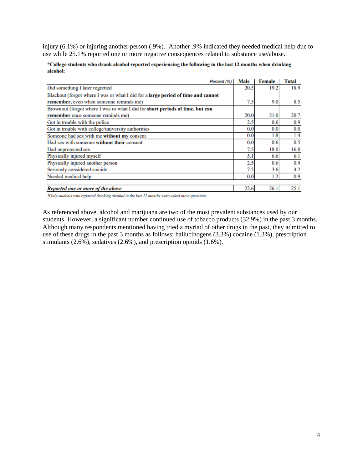injury (6.1%) or injuring another person (.9%). Another .9% indicated they needed medical help due to use while 25.1% reported one or more negative consequences related to substance use/abuse.

| *College students who drank alcohol reported experiencing the following in the last 12 months when drinking |  |
|-------------------------------------------------------------------------------------------------------------|--|
| alcohol:                                                                                                    |  |

| Percent (%)                                                                      | Male | Female           | Total |
|----------------------------------------------------------------------------------|------|------------------|-------|
| Did something I later regretted                                                  | 20.5 | 19.2             | 18.9  |
| Blackout (forgot where I was or what I did for a large period of time and cannot |      |                  |       |
| remember, even when someone reminds me)                                          | 7.5  | 9.0 <sub>1</sub> | 8.5   |
| Brownout (forgot where I was or what I did for short periods of time, but can    |      |                  |       |
| remember once someone reminds me)                                                | 20.0 | 21.0             | 20.7  |
| Got in trouble with the police                                                   | 2.5  | 0.6              | 0.9   |
| Got in trouble with college/university authorities                               | 0.0  | 0.0              | 0.0   |
| Someone had sex with me without my consent                                       | 0.0  | 1.8              | 1.4   |
| Had sex with someone without their consent                                       | 0.0  | 0.6              | 0.5   |
| Had unprotected sex                                                              | 7.5  | 18.0             | 16.0  |
| Physically injured myself                                                        | 5.1  | 6.6              | 6.1   |
| Physically injured another person                                                | 2.5  | 0.6              | 0.9   |
| Seriously considered suicide                                                     | 7.5  | 3.6              | 4.2   |
| Needed medical help                                                              | 0.0  | 1.2              | 0.9   |
|                                                                                  |      |                  |       |
| Reported one or more of the above                                                | 22.6 | 26.1             | 25.1  |

\*Only students who reported drinking alcohol in the last 12 months were asked these questions.

As referenced above, alcohol and marijuana are two of the most prevalent substances used by our students. However, a significant number continued use of tobacco products (32.9%) in the past 3 months. Although many respondents mentioned having tried a myriad of other drugs in the past, they admitted to use of these drugs in the past 3 months as follows: hallucinogens (3.3%) cocaine (1.3%), prescription stimulants (2.6%), sedatives (2.6%), and prescription opioids (1.6%).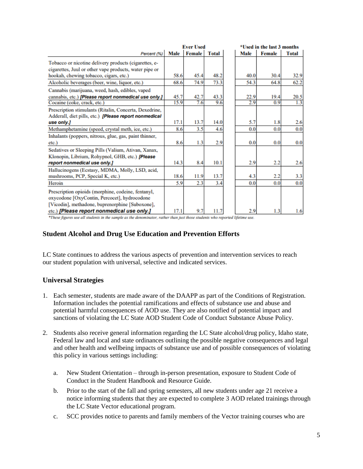|                                                              | <b>Ever Used</b> |        |              |  | *Used in the last 3 months |               |              |
|--------------------------------------------------------------|------------------|--------|--------------|--|----------------------------|---------------|--------------|
| Percent (%)                                                  | Male             | Female | <b>Total</b> |  | Male                       | <b>Female</b> | <b>Total</b> |
| Tobacco or nicotine delivery products (cigarettes, e-        |                  |        |              |  |                            |               |              |
| cigarettes, Juul or other vape products, water pipe or       |                  |        |              |  |                            |               |              |
| hookah, chewing tobacco, cigars, etc.)                       | 58.6             | 45.4   | 48.2         |  | 40.0                       | 30.4          | 32.9         |
| Alcoholic beverages (beer, wine, liquor, etc.)               | 68.6             | 74.9   | 73.3         |  | 54.3                       | 64.8          | 62.2         |
| Cannabis (marijuana, weed, hash, edibles, vaped              |                  |        |              |  |                            |               |              |
| cannabis, etc.) [Please report nonmedical use only.]         | 45.7             | 42.7   | 43.3         |  | 22.9                       | 19.4          | 20.5         |
| Cocaine (coke, crack, etc.)                                  | 15.9             | 7.6    | 9.6          |  | 2.9                        | 0.9           | 1.3          |
| Prescription stimulants (Ritalin, Concerta, Dexedrine,       |                  |        |              |  |                            |               |              |
| Adderall, diet pills, etc.) <i>[Please report nonmedical</i> |                  |        |              |  |                            |               |              |
| use only.]                                                   | 17.1             | 13.7   | 14.0         |  | 5.7                        | 1.8           | 2.6          |
| Methamphetamine (speed, crystal meth, ice, etc.)             | 8.6              | 3.5    | 4.6          |  | 0.0                        | 0.0           | 0.0          |
| Inhalants (poppers, nitrous, glue, gas, paint thinner,       |                  |        |              |  |                            |               |              |
| etc.)                                                        | 8.6              | 1.3    | 2.9          |  | 0.0                        | 0.0           | 0.0          |
| Sedatives or Sleeping Pills (Valium, Ativan, Xanax,          |                  |        |              |  |                            |               |              |
| Klonopin, Librium, Rohypnol, GHB, etc.) [Please              |                  |        |              |  |                            |               |              |
| report nonmedical use only.]                                 | 14.3             | 8.4    | 10.1         |  | 2.9                        | 2.2           | 2.6          |
| Hallucinogens (Ecstasy, MDMA, Molly, LSD, acid,              |                  |        |              |  |                            |               |              |
| mushrooms, PCP, Special K, etc.)                             | 18.6             | 11.9   | 13.7         |  | 4.3                        | 2.2           | 3.3          |
| Heroin                                                       | 5.9              | 2.3    | 3.4          |  | 0.0                        | 0.0           | 0.0          |
| Prescription opioids (morphine, codeine, fentanyl,           |                  |        |              |  |                            |               |              |
| oxycodone [OxyContin, Percocet], hydrocodone                 |                  |        |              |  |                            |               |              |
| [Vicodin], methadone, buprenorphine [Suboxone],              |                  |        |              |  |                            |               |              |
| etc.) [Please report nonmedical use only.]                   | 17.1             | 9.7    | 11.7         |  | 2.9                        | 1.3           | 1.6          |

\*These figures use all students in the sample as the denominator, rather than just those students who reported lifetime use.

#### <span id="page-6-0"></span>**Student Alcohol and Drug Use Education and Prevention Efforts**

LC State continues to address the various aspects of prevention and intervention services to reach our student population with universal, selective and indicated services.

#### <span id="page-6-1"></span>**Universal Strategies**

- 1. Each semester, students are made aware of the DAAPP as part of the Conditions of Registration. Information includes the potential ramifications and effects of substance use and abuse and potential harmful consequences of AOD use. They are also notified of potential impact and sanctions of violating the LC State AOD Student Code of Conduct Substance Abuse Policy.
- 2. Students also receive general information regarding the LC State alcohol/drug policy, Idaho state, Federal law and local and state ordinances outlining the possible negative consequences and legal and other health and wellbeing impacts of substance use and of possible consequences of violating this policy in various settings including:
	- a. New Student Orientation through in-person presentation, exposure to Student Code of Conduct in the Student Handbook and Resource Guide.
	- b. Prior to the start of the fall and spring semesters, all new students under age 21 receive a notice informing students that they are expected to complete 3 AOD related trainings through the LC State Vector educational program.
	- c. SCC provides notice to parents and family members of the Vector training courses who are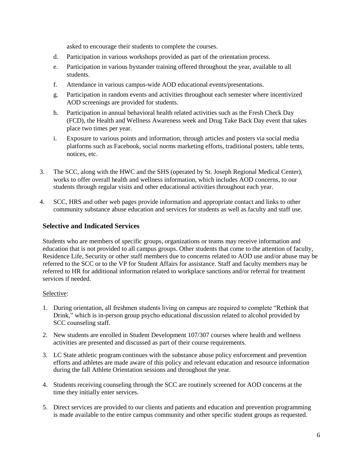asked to encourage their students to complete the courses.

- d. Participation in various workshops provided as part of the orientation process.
- e. Participation in various bystander training offered throughout the year, available to all students.
- f. Attendance in various campus-wide AOD educational events/presentations.
- g. Participation in random events and activities throughout each semester where incentivized AOD screenings are provided for students.
- h. Participation in annual behavioral health related activities such as the Fresh Check Day (FCD), the Health and Wellness Awareness week and Drug Take Back Day event that takes place two times per year.
- i. Exposure to various points and information, through articles and posters via social media platforms such as Facebook, social norms marketing efforts, traditional posters, table tents, notices, etc.
- 3. The SCC, along with the HWC and the SHS (operated by St. Joseph Regional Medical Center), works to offer overall health and wellness information, which includes AOD concerns, to our students through regular visits and other educational activities throughout each year.
- 4. SCC, HRS and other web pages provide information and appropriate contact and links to other community substance abuse education and services for students as well as faculty and staff use.

### <span id="page-7-0"></span>**Selective and Indicated Services**

Students who are members of specific groups, organizations or teams may receive information and education that is not provided to all campus groups. Other students that come to the attention of faculty, Residence Life, Security or other staff members due to concerns related to AOD use and/or abuse may be referred to the SCC or to the VP for Student Affairs for assistance. Staff and faculty members may be referred to HR for additional information related to workplace sanctions and/or referral for treatment services if needed.

#### Selective:

- 1. During orientation, all freshmen students living on campus are required to complete "Rethink that Drink," which is in-person group psycho educational discussion related to alcohol provided by SCC counseling staff.
- 2. New students are enrolled in Student Development 107/307 courses where health and wellness activities are presented and discussed as part of their course requirements.
- 3. LC State athletic program continues with the substance abuse policy enforcement and prevention efforts and athletes are made aware of this policy and relevant education and resource information during the fall Athlete Orientation sessions and throughout the year.
- 4. Students receiving counseling through the SCC are routinely screened for AOD concerns at the time they initially enter services.
- 5. Direct services are provided to our clients and patients and education and prevention programming is made available to the entire campus community and other specific student groups as requested.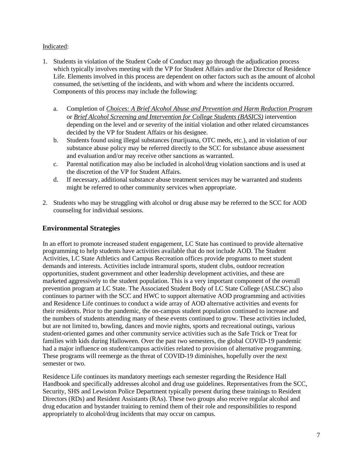#### Indicated:

- 1. Students in violation of the Student Code of Conduct may go through the adjudication process which typically involves meeting with the VP for Student Affairs and/or the Director of Residence Life. Elements involved in this process are dependent on other factors such as the amount of alcohol consumed, the set/setting of the incidents, and with whom and where the incidents occurred. Components of this process may include the following:
	- a. Completion of *Choices: A Brief Alcohol Abuse and Prevention and Harm Reduction Program* or *Brief Alcohol Screening and Intervention for College Students (BASICS)* intervention depending on the level and or severity of the initial violation and other related circumstances decided by the VP for Student Affairs or his designee.
	- b. Students found using illegal substances (marijuana, OTC meds, etc.), and in violation of our substance abuse policy may be referred directly to the SCC for substance abuse assessment and evaluation and/or may receive other sanctions as warranted.
	- c. Parental notification may also be included in alcohol/drug violation sanctions and is used at the discretion of the VP for Student Affairs.
	- d. If necessary, additional substance abuse treatment services may be warranted and students might be referred to other community services when appropriate.
- 2. Students who may be struggling with alcohol or drug abuse may be referred to the SCC for AOD counseling for individual sessions.

### <span id="page-8-0"></span>**Environmental Strategies**

In an effort to promote increased student engagement, LC State has continued to provide alternative programming to help students have activities available that do not include AOD. The Student Activities, LC State Athletics and Campus Recreation offices provide programs to meet student demands and interests. Activities include intramural sports, student clubs, outdoor recreation opportunities, student government and other leadership development activities, and these are marketed aggressively to the student population. This is a very important component of the overall prevention program at LC State. The Associated Student Body of LC State College (ASLCSC) also continues to partner with the SCC and HWC to support alternative AOD programming and activities and Residence Life continues to conduct a wide array of AOD alternative activities and events for their residents. Prior to the pandemic, the on-campus student population continued to increase and the numbers of students attending many of these events continued to grow. These activities included, but are not limited to, bowling, dances and movie nights, sports and recreational outings, various student-oriented games and other community service activities such as the Safe Trick or Treat for families with kids during Halloween. Over the past two semesters, the global COVID-19 pandemic had a major influence on student/campus activities related to provision of alternative programming. These programs will reemerge as the threat of COVID-19 diminishes, hopefully over the next semester or two.

Residence Life continues its mandatory meetings each semester regarding the Residence Hall Handbook and specifically addresses alcohol and drug use guidelines. Representatives from the SCC, Security, SHS and Lewiston Police Department typically present during these trainings to Resident Directors (RDs) and Resident Assistants (RAs). These two groups also receive regular alcohol and drug education and bystander training to remind them of their role and responsibilities to respond appropriately to alcohol/drug incidents that may occur on campus.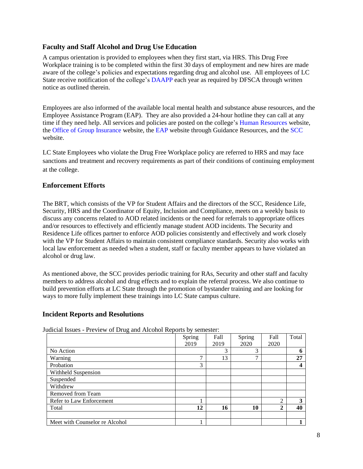### <span id="page-9-0"></span>**Faculty and Staff Alcohol and Drug Use Education**

A campus orientation is provided to employees when they first start, via HRS. This Drug Free Workplace training is to be completed within the first 30 days of employment and new hires are made aware of the college's policies and expectations regarding drug and alcohol use. All employees of LC State receive notification of the college's [DAAPP](https://www.lcsc.edu/media/7173/lcsc-daapp-dfsca-annual-notification-report-final.pdf) each year as required by DFSCA through written notice as outlined therein.

Employees are also informed of the available local mental health and substance abuse resources, and the Employee Assistance Program (EAP). They are also provided a 24-hour hotline they can call at any time if they need help. All services and policies are posted on the college's [Human Resources](https://www.lcsc.edu/hr/employee-resources/new-employees/new-employee-checklist) website, the [Office of Group Insurance](https://ogi.idaho.gov/counseling/) website, the [EAP](https://www.guidanceresources.com/groWeb/login/login.xhtml) website through Guidance Resources, and the [SCC](http://www.lcsc.edu/student-counseling/) website.

LC State Employees who violate the Drug Free Workplace policy are referred to HRS and may face sanctions and treatment and recovery requirements as part of their conditions of continuing employment at the college.

### <span id="page-9-1"></span>**Enforcement Efforts**

The BRT, which consists of the VP for Student Affairs and the directors of the SCC, Residence Life, Security, HRS and the Coordinator of Equity, Inclusion and Compliance, meets on a weekly basis to discuss any concerns related to AOD related incidents or the need for referrals to appropriate offices and/or resources to effectively and efficiently manage student AOD incidents. The Security and Residence Life offices partner to enforce AOD policies consistently and effectively and work closely with the VP for Student Affairs to maintain consistent compliance standards. Security also works with local law enforcement as needed when a student, staff or faculty member appears to have violated an alcohol or drug law.

As mentioned above, the SCC provides periodic training for RAs, Security and other staff and faculty members to address alcohol and drug effects and to explain the referral process. We also continue to build prevention efforts at LC State through the promotion of bystander training and are looking for ways to more fully implement these trainings into LC State campus culture.

#### <span id="page-9-2"></span>**Incident Reports and Resolutions**

|                                | Spring | Fall | Spring | Fall           | Total |
|--------------------------------|--------|------|--------|----------------|-------|
|                                | 2019   | 2019 | 2020   | 2020           |       |
| No Action                      |        | 3    | 3      |                | n     |
| Warning                        | 7      | 13   | ⇁      |                | 27    |
| Probation                      | 3      |      |        |                |       |
| Withheld Suspension            |        |      |        |                |       |
| Suspended                      |        |      |        |                |       |
| Withdrew                       |        |      |        |                |       |
| Removed from Team              |        |      |        |                |       |
| Refer to Law Enforcement       |        |      |        | $\overline{2}$ | 3     |
| Total                          | 12     | 16   | 10     | $\mathbf{2}$   | 40    |
|                                |        |      |        |                |       |
| Meet with Counselor re Alcohol |        |      |        |                |       |

Judicial Issues - Preview of Drug and Alcohol Reports by semester: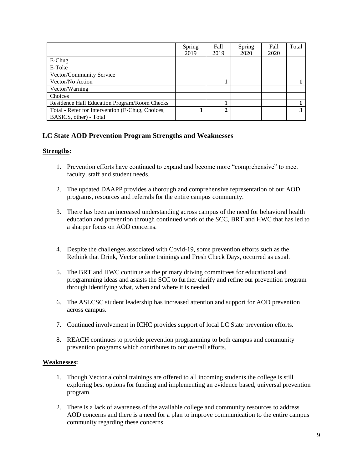|                                                  | Spring | Fall | Spring | Fall | Total |
|--------------------------------------------------|--------|------|--------|------|-------|
|                                                  | 2019   | 2019 | 2020   | 2020 |       |
| $E$ -Chug                                        |        |      |        |      |       |
| E-Toke                                           |        |      |        |      |       |
| Vector/Community Service                         |        |      |        |      |       |
| Vector/No Action                                 |        |      |        |      |       |
| Vector/Warning                                   |        |      |        |      |       |
| Choices                                          |        |      |        |      |       |
| Residence Hall Education Program/Room Checks     |        |      |        |      |       |
| Total - Refer for Intervention (E-Chug, Choices, |        | 2    |        |      | 2     |
| BASICS, other) - Total                           |        |      |        |      |       |

## <span id="page-10-0"></span>**LC State AOD Prevention Program Strengths and Weaknesses**

#### **Strengths:**

- 1. Prevention efforts have continued to expand and become more "comprehensive" to meet faculty, staff and student needs.
- 2. The updated DAAPP provides a thorough and comprehensive representation of our AOD programs, resources and referrals for the entire campus community.
- 3. There has been an increased understanding across campus of the need for behavioral health education and prevention through continued work of the SCC, BRT and HWC that has led to a sharper focus on AOD concerns.
- 4. Despite the challenges associated with Covid-19, some prevention efforts such as the Rethink that Drink, Vector online trainings and Fresh Check Days, occurred as usual.
- 5. The BRT and HWC continue as the primary driving committees for educational and programming ideas and assists the SCC to further clarify and refine our prevention program through identifying what, when and where it is needed.
- 6. The ASLCSC student leadership has increased attention and support for AOD prevention across campus.
- 7. Continued involvement in ICHC provides support of local LC State prevention efforts.
- 8. REACH continues to provide prevention programming to both campus and community prevention programs which contributes to our overall efforts.

#### **Weaknesses:**

- 1. Though Vector alcohol trainings are offered to all incoming students the college is still exploring best options for funding and implementing an evidence based, universal prevention program.
- 2. There is a lack of awareness of the available college and community resources to address AOD concerns and there is a need for a plan to improve communication to the entire campus community regarding these concerns.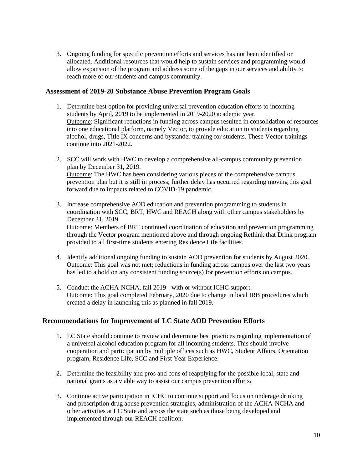3. Ongoing funding for specific prevention efforts and services has not been identified or allocated. Additional resources that would help to sustain services and programming would allow expansion of the program and address some of the gaps in our services and ability to reach more of our students and campus community.

#### <span id="page-11-0"></span>**Assessment of 2019-20 Substance Abuse Prevention Program Goals**

- 1. Determine best option for providing universal prevention education efforts to incoming students by April, 2019 to be implemented in 2019-2020 academic year. Outcome: Significant reductions in funding across campus resulted in consolidation of resources into one educational platform, namely Vector, to provide education to students regarding alcohol, drugs, Title IX concerns and bystander training for students. These Vector trainings continue into 2021-2022.
- 2. SCC will work with HWC to develop a comprehensive all-campus community prevention plan by December 31, 2019. Outcome: The HWC has been considering various pieces of the comprehensive campus prevention plan but it is still in process; further delay has occurred regarding moving this goal forward due to impacts related to COVID-19 pandemic.
- 3. Increase comprehensive AOD education and prevention programming to students in coordination with SCC, BRT, HWC and REACH along with other campus stakeholders by December 31, 2019. Outcome: Members of BRT continued coordination of education and prevention programming through the Vector program mentioned above and through ongoing Rethink that Drink program
- 4. Identify additional ongoing funding to sustain AOD prevention for students by August 2020. Outcome: This goal was not met; reductions in funding across campus over the last two years has led to a hold on any consistent funding source(s) for prevention efforts on campus.
- 5. Conduct the ACHA-NCHA, fall 2019 with or without ICHC support. Outcome: This goal completed February, 2020 due to change in local IRB procedures which created a delay in launching this as planned in fall 2019.

#### <span id="page-11-1"></span>**Recommendations for Improvement of LC State AOD Prevention Efforts**

provided to all first-time students entering Residence Life facilities.

- 1. LC State should continue to review and determine best practices regarding implementation of a universal alcohol education program for all incoming students. This should involve cooperation and participation by multiple offices such as HWC, Student Affairs, Orientation program, Residence Life, SCC and First Year Experience.
- 2. Determine the feasibility and pros and cons of reapplying for the possible local, state and national grants as a viable way to assist our campus prevention efforts.
- 3. Continue active participation in ICHC to continue support and focus on underage drinking and prescription drug abuse prevention strategies, administration of the ACHA-NCHA and other activities at LC State and across the state such as those being developed and implemented through our REACH coalition.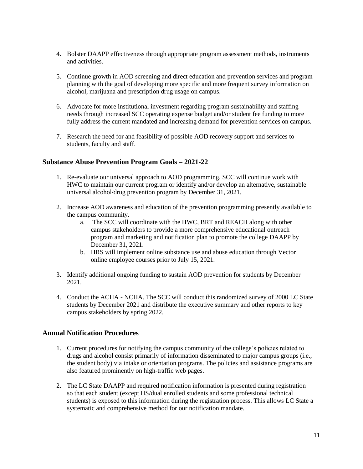- 4. Bolster DAAPP effectiveness through appropriate program assessment methods, instruments and activities.
- 5. Continue growth in AOD screening and direct education and prevention services and program planning with the goal of developing more specific and more frequent survey information on alcohol, marijuana and prescription drug usage on campus.
- 6. Advocate for more institutional investment regarding program sustainability and staffing needs through increased SCC operating expense budget and/or student fee funding to more fully address the current mandated and increasing demand for prevention services on campus.
- 7. Research the need for and feasibility of possible AOD recovery support and services to students, faculty and staff.

#### <span id="page-12-0"></span>**Substance Abuse Prevention Program Goals – 2021-22**

- 1. Re-evaluate our universal approach to AOD programming. SCC will continue work with HWC to maintain our current program or identify and/or develop an alternative, sustainable universal alcohol/drug prevention program by December 31, 2021.
- 2. Increase AOD awareness and education of the prevention programming presently available to the campus community.
	- a. The SCC will coordinate with the HWC, BRT and REACH along with other campus stakeholders to provide a more comprehensive educational outreach program and marketing and notification plan to promote the college DAAPP by December 31, 2021.
	- b. HRS will implement online substance use and abuse education through Vector online employee courses prior to July 15, 2021.
- 3. Identify additional ongoing funding to sustain AOD prevention for students by December 2021.
- 4. Conduct the ACHA NCHA. The SCC will conduct this randomized survey of 2000 LC State students by December 2021 and distribute the executive summary and other reports to key campus stakeholders by spring 2022.

#### <span id="page-12-1"></span>**Annual Notification Procedures**

- 1. Current procedures for notifying the campus community of the college's policies related to drugs and alcohol consist primarily of information disseminated to major campus groups (i.e., the student body) via intake or orientation programs. The policies and assistance programs are also featured prominently on high-traffic web pages.
- 2. The LC State DAAPP and required notification information is presented during registration so that each student (except HS/dual enrolled students and some professional technical students) is exposed to this information during the registration process. This allows LC State a systematic and comprehensive method for our notification mandate.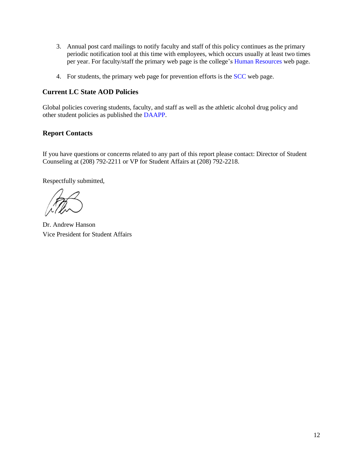- 3. Annual post card mailings to notify faculty and staff of this policy continues as the primary periodic notification tool at this time with employees, which occurs usually at least two times per year. For faculty/staff the primary web page is the college's [Human Resources](http://www.lcsc.edu/hr/) web page.
- 4. For students, the primary web page for prevention efforts is the [SCC](http://www.lcsc.edu/student-counseling/) web page.

#### <span id="page-13-0"></span>**Current LC State AOD Policies**

Global policies covering students, faculty, and staff as well as the athletic alcohol drug policy and other student policies as published the [DAAPP.](https://www.lcsc.edu/media/7173/lcsc-daapp-dfsca-annual-notification-report-final.pdf)

### **Report Contacts**

If you have questions or concerns related to any part of this report please contact: Director of Student Counseling at (208) 792-2211 or VP for Student Affairs at (208) 792-2218.

Respectfully submitted,

Dr. Andrew Hanson Vice President for Student Affairs